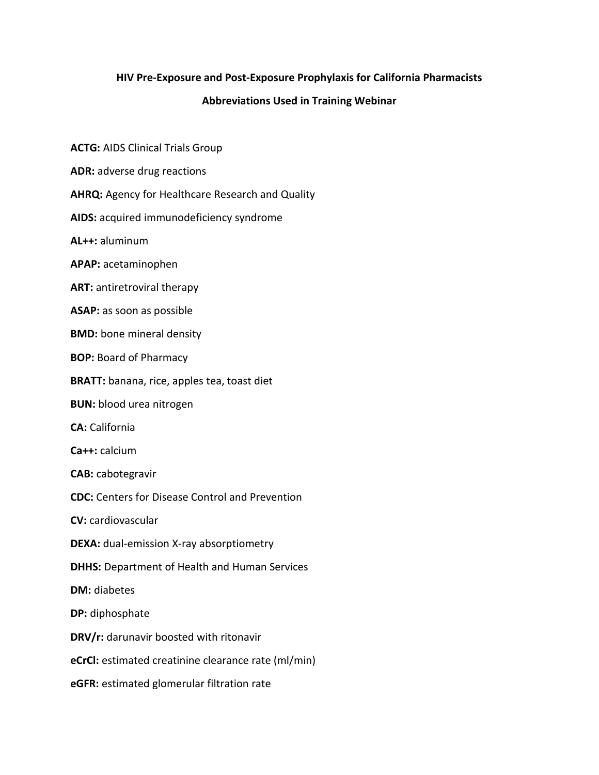## **HIV Pre-Exposure and Post-Exposure Prophylaxis for California Pharmacists**

## **Abbreviations Used in Training Webinar**

**ACTG:** AIDS Clinical Trials Group

**ADR:** adverse drug reactions

**AHRQ:** Agency for Healthcare Research and Quality

**AIDS:** acquired immunodeficiency syndrome

**AL++:** aluminum

**APAP:** acetaminophen

**ART:** antiretroviral therapy

**ASAP:** as soon as possible

**BMD:** bone mineral density

**BOP:** Board of Pharmacy

**BRATT:** banana, rice, apples tea, toast diet

**BUN:** blood urea nitrogen

**CA:** California

**Ca++:** calcium

**CAB:** cabotegravir

**CDC:** Centers for Disease Control and Prevention

**CV:** cardiovascular

**DEXA:** dual-emission X-ray absorptiometry

**DHHS:** Department of Health and Human Services

**DM:** diabetes

**DP:** diphosphate

**DRV/r:** darunavir boosted with ritonavir

**eCrCl:** estimated creatinine clearance rate (ml/min)

**eGFR:** estimated glomerular filtration rate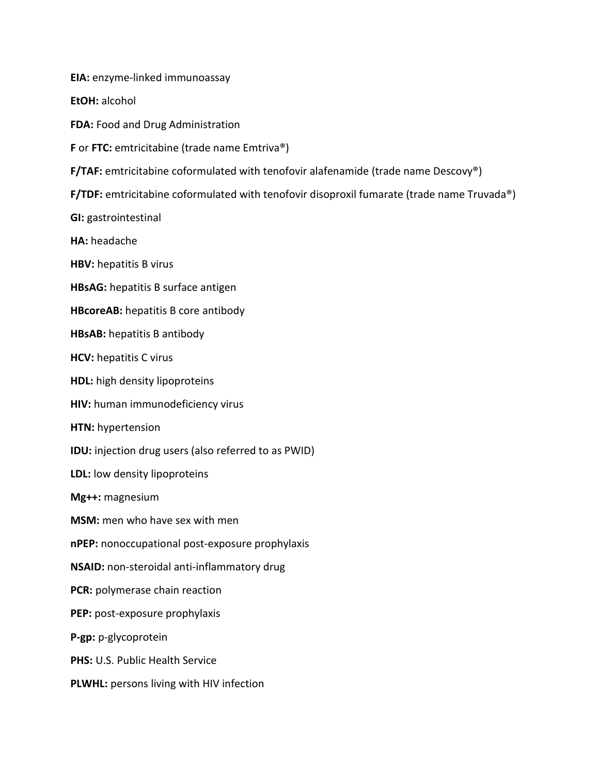**EIA:** enzyme-linked immunoassay

**EtOH:** alcohol

**FDA:** Food and Drug Administration

**F** or **FTC:** emtricitabine (trade name Emtriva®)

**F/TAF:** emtricitabine coformulated with tenofovir alafenamide (trade name Descovy®)

**F/TDF:** emtricitabine coformulated with tenofovir disoproxil fumarate (trade name Truvada®)

**GI:** gastrointestinal

**HA:** headache

**HBV:** hepatitis B virus

**HBsAG:** hepatitis B surface antigen

**HBcoreAB:** hepatitis B core antibody

**HBsAB:** hepatitis B antibody

**HCV:** hepatitis C virus

**HDL:** high density lipoproteins

**HIV:** human immunodeficiency virus

**HTN:** hypertension

**IDU:** injection drug users (also referred to as PWID)

**LDL:** low density lipoproteins

**Mg++:** magnesium

**MSM:** men who have sex with men

**nPEP:** nonoccupational post-exposure prophylaxis

**NSAID:** non-steroidal anti-inflammatory drug

**PCR:** polymerase chain reaction

**PEP:** post-exposure prophylaxis

**P-gp:** p-glycoprotein

**PHS:** U.S. Public Health Service

**PLWHL:** persons living with HIV infection